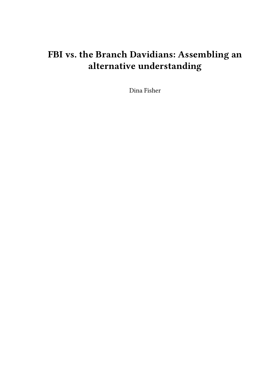## **FBI vs. the Branch Davidians: Assembling an alternative understanding**

Dina Fisher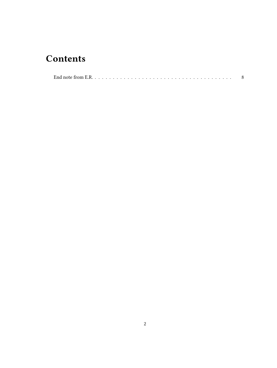## **Contents**

|--|--|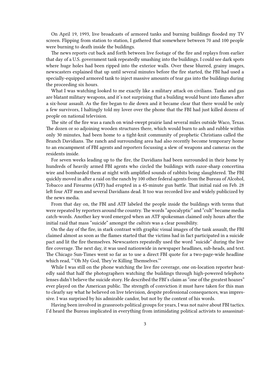On April 19, 1993, live broadcasts of armored tanks and burning buildings flooded my TV screen. Flipping from station to station, I gathered that somewhere between 70 and 100 people were burning to death inside the buildings.

The news reports cut back and forth between live footage of the fire and replays from earlier that day of a U.S. government tank repeatedly smashing into the buildings. I could see dark spots where huge holes had been ripped into the exterior walls. Over these blurred, grainy images, newscasters explained that up until several minutes before the fire started, the FBI had used a specially-equipped armored tank to inject massive amounts of tear gas into the buildings during the proceeding six hours.

What I was watching looked to me exactly like a military attack on civilians. Tanks and gas are blatant military weapons, and it's not surprising that a building would burst into flames after a six-hour assault. As the fire began to die down and it became clear that there would be only a few survivors, I haltingly told my lover over the phone that the FBI had just killed dozens of people on national television.

The site of the fire was a ranch on wind-swept prairie land several miles outside Waco, Texas. The dozen or so adjoining wooden structures there, which would burn to ash and rubble within only 30 minutes, had been home to a tight-knit community of prophetic Christians called the Branch Davidians. The ranch and surrounding area had also recently become temporary home to an encampment of FBI agents and reporters focussing a slew of weapons and cameras on the residents inside.

For seven weeks leading up to the fire, the Davidians had been surrounded in their home by hundreds of heavily armed FBI agents who circled the buildings with razor-sharp concertina wire and bombarded them at night with amplified sounds of rabbits being slaughtered. The FBI quickly moved in after a raid on the ranch by 100 other federal agents from the Bureau of Alcohol, Tobacco and Firearms (ATF) had erupted in a 45-minute gun battle. That initial raid on Feb. 28 left four ATF men and several Davidians dead. It too was recorded live and widely publicized by the news media.

From that day on, the FBI and ATF labeled the people inside the buildings with terms that were repeated by reporters around the country. The words "apocalyptic" and "cult" became media catch-words. Another key word emerged when an ATF spokesman claimed only hours after the initial raid that mass "suicide" amongst the *cultists* was a clear possibility.

On the day of the fire, in stark contrast with graphic visual images of the tank assault, the FBI claimed almost as soon as the flames started that the victims had in fact participated in a suicide pact and lit the fire themselves. Newscasters repeatedly used the word "suicide" during the live fire coverage. The next day, it was used nationwide in newspaper headlines, sub-heads, and text. The Chicago Sun-Times went so far as to use a direct FBI quote for a two-page-wide headline which read, "'Oh My God, They're Killing Themselves.'"

While I was still on the phone watching the live fire coverage, one on-location reporter heatedly said that half the photographers watching the buildings through high-powered telephoto lenses didn't believe the suicide story. He described the FBI's claim as "one of the greatest hoaxes" ever played on the American public. The strength of conviction it must have taken for this man to clearly say what he believed on live television, despite professional consequences, was impressive. I was surprised by his admirable candor, but not by the content of his words.

Having been involved in grassroots political groups for years, I was not naive about FBI tactics. I'd heard the Bureau implicated in everything from intimidating political activists to assassinat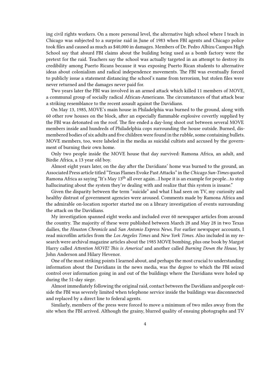ing civil rights workers. On a more personal level, the alternative high school where I teach in Chicago was subjected to a surprise raid in June of 1983 when FBI agents and Chicago police took files and caused as much as \$40,000 in damages. Members of Dr. Pedro Albizu Campos High School say that absurd FBI claims about the building being used as a bomb factory were the pretext for the raid. Teachers say the school was actually targeted in an attempt to destroy its credibility among Puerto Ricans because it was exposing Puerto Rican students to alternative ideas about colonialism and radical independence movements. The FBI was eventually forced to publicly issue a statement distancing the school's name from terrorism, but stolen files were never returned and the damages never paid for.

Two years later the FBI was involved in an armed attack which killed 11 members of MOVE, a communal group of socially radical African-Americans. The circumstances of that attack bear a striking resemblance to the recent assault against the Davidians.

On May 13, 1985, MOVE's main house in Philadelphia was burned to the ground, along with 60 other row houses on the block, after an especially flammable explosive covertly supplied by the FBI was detonated on the roof. The fire ended a day-long shoot out between several MOVE members inside and hundreds of Philadelphia cops surrounding the house outside. Burned, dismembered bodies of six adults and five children were found in the rubble, some containing bullets. MOVE members, too, were labeled in the media as suicidal cultists and accused by the government of burning their own home.

Only two people inside the MOVE house that day survived: Ramona Africa, an adult, and Birdie Africa, a 13 year old boy.

Almost eight years later, on the day after the Davidians' home was burned to the ground, an Associated Press article titled "Texas Flames Evoke Past Attacks" in the *Chicago Sun-Times* quoted Ramona Africa as saying "It's May 13<sup>th</sup> all over again...I hope it is an example for people...to stop hallucinating about the system they're dealing with and realize that this system is insane."

Given the disparity between the term "suicide" and what I had seen on TV, my curiosity and healthy distrust of government agencies were aroused. Comments made by Ramona Africa and the admirable on-location reporter started me on a library investigation of events surrounding the attack on the Davidians.

My investigation spanned eight weeks and included over 60 newspaper articles from around the country. The majority of these were published between March 28 and May 28 in two Texas dailies, the *Houston Chronicle* and *San Antonio Express News*. For earlier newspaper accounts, I read microfilm articles from the *Los Angeles Times* and *New York Times*. Also included in my research were archival magazine articles about the 1985 MOVE bombing, plus one book by Margot Harry called *Attention MOVE! This is America!* and another called *Burning Down the House*, by John Anderson and Hilary Hevenor.

One of the most striking points I learned about, and perhaps the most crucial to understanding information about the Davidians in the news media, was the degree to which the FBI seized control over information going in and out of the buildings where the Davidians were holed up during the 51-day siege.

Almost immediately following the original raid, contact between the Davidians and people outside the FBI was severely limited when telephone service inside the buildings was disconnected and replaced by a direct line to federal agents.

Similarly, members of the press were forced to move a minimum of two miles away from the site when the FBI arrived. Although the grainy, blurred quality of ensuing photographs and TV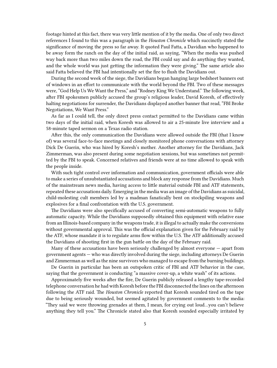footage hinted at this fact, there was very little mention of it by the media. One of only two direct references I found to this was a paragraph in the *Houston Chronicle* which succinctly stated the significance of moving the press so far away. It quoted Paul Fatta, a Davidian who happened to be away form the ranch on the day of the initial raid, as saying, "When the media was pushed way back more than two miles down the road, the FBI could say and do anything they wanted, and the whole world was just getting the information they were giving." The same article also said Fatta believed the FBI had intentionally set the fire to flush the Davidians out.

During the second week of the siege, the Davidians began hanging large bedsheet banners out of windows in an effort to communicate with the world beyond the FBI. Two of these messages were, "God Help Us We Want the Press," and "Rodney King We Understand." The following week, after FBI spokesmen publicly accused the group's religious leader, David Koresh, of effectively halting negotiations for surrender, the Davidians displayed another banner that read, "FBI Broke Negotiations, We Want Press."

As far as I could tell, the only direct press contact permitted to the Davidians came within two days of the initial raid, when Koresh was allowed to air a 25-minute live interview and a 58-minute taped sermon on a Texas radio station.

After this, the only communication the Davidians were allowed outside the FBI (that I know of) was several face-to-face meetings and closely monitored phone conversations with attorney Dick De Guerin, who was hired by Koresh's mother. Another attorney for the Davidians, Jack Zimmerman, was also present during some negotiation sessions, but was sometimes not permitted by the FBI to speak. Concerned relatives and friends were at no time allowed to speak with the people inside.

With such tight control over information and communication, government officials were able to make a series of unsubstantiated accusations and block any response from the Davidians. Much of the mainstream news media, having access to little material outside FBI and ATF statements, repeated these accusations daily. Emerging in the media was an image of the Davidians as suicidal, child-molesting cult members led by a madman fanatically bent on stockpiling weapons and explosives for a final confrontation with the U.S. government.

The Davidians were also specifically accused of converting semi-automatic weapons to fully automatic capacity. While the Davidians supposedly obtained this equipment with relative ease from an Illinois-based company in the weapons trade, it is illegal to actually make the conversions without governmental approval. This was the official explanation given for the February raid by the ATF, whose mandate it is to regulate arms flow within the U.S. The ATF additionally accused the Davidians of shooting first in the gun battle on the day of the February raid.

Many of these accusations have been seriously challenged by almost everyone — apart from government agents — who was directly involved during the siege, including attorneys De Guerin and Zimmerman as well as the nine survivors who managed to escape from the burning buildings.

De Guerin in particular has been an outspoken critic of FBI and ATF behavior in the case, saying that the government is conducting "a massive cover-up, a white wash" of its actions.

Approximately five weeks after the fire, De Guerin publicly released a lengthy tape-recorded telephone conversation he had with Koresh before the FBI disconnected the lines on the afternoon following the ATF raid. The *Houston Chronicle* reported that Koresh sounded tired on the tape due to being seriously wounded, but seemed agitated by government comments to the media: "They said we were throwing grenades at them, I mean, for crying out loud…you can't believe anything they tell you." The Chronicle stated also that Koresh sounded especially irritated by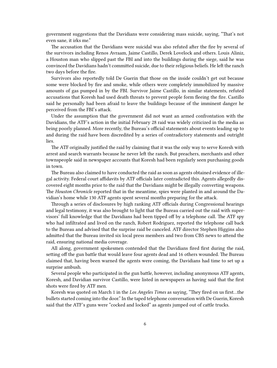government suggestions that the Davidians were considering mass suicide, saying, "That's not even sane, it irks me."

The accusation that the Davidians were suicidal was also refuted after the fire by several of the survivors including Renos Avraam, Jaime Castillo, Derek Lovelock and others. Louis Aliniz, a Houston man who slipped past the FBI and into the buildings during the siege, said he was convinced the Davidians hadn't committed suicide, due to their religious beliefs. He left the ranch two days before the fire.

Survivors also reportedly told De Guerin that those on the inside couldn't get out because some were blocked by fire and smoke, while others were completely immobilized by massive amounts of gas pumped in by the FBI. Survivor Jaime Castillo, in similar statements, refuted accusations that Koresh had used death threats to prevent people form fleeing the fire. Castillo said he personally had been afraid to leave the buildings because of the imminent danger he perceived from the FBI's attack.

Under the assumption that the government did not want an armed confrontation with the Davidians, the ATF's action in the initial February 28 raid was widely criticized in the media as being poorly planned. More recently, the Bureau's official statements about events leading up to and during the raid have been discredited by a series of contradictory statements and outright lies.

The ATF originally justified the raid by claiming that it was the only way to serve Koresh with arrest and search warrants because he never left the ranch. But preachers, merchants and other townspeople said in newspaper accounts that Koresh had been regularly seen purchasing goods in town.

The Bureau also claimed to have conducted the raid as soon as agents obtained evidence of illegal activity. Federal court affidavits by ATF officials later contradicted this. Agents allegedly discovered eight months prior to the raid that the Davidians might be illegally converting weapons. The *Houston Chronicle* reported that in the meantime, spies were planted in and around the Davidian's home while 130 ATF agents spent several months preparing for the attack.

Through a series of disclosures by high ranking ATF officials during Congressional hearings and legal testimony, it was also brought to light that the Bureau carried out the raid with supervisors' full knowledge that the Davidians had been tipped off by a telephone call. The ATF spy who had infiltrated and lived on the ranch, Robert Rodriguez, reported the telephone call back to the Bureau and advised that the surprise raid be canceled. ATF director Stephen Higgins also admitted that the Bureau invited six local press members and two from CBS news to attend the raid, ensuring national media coverage.

All along, government spokesmen contended that the Davidians fired first during the raid, setting off the gun battle that would leave four agents dead and 16 others wounded. The Bureau claimed that, having been warned the agents were coming, the Davidians had time to set up a surprise ambush.

Several people who participated in the gun battle, however, including anonymous ATF agents, Koresh, and Davidian survivor Castillo, were listed in newspapers as having said that the first shots were fired by ATF men.

Koresh was quoted on March 1 in the *Los Angeles Times* as saying, "They fired on us first…the bullets started coming into the door." In the taped telephone conversation with De Guerin, Koresh said that the ATF's guns were "cocked and locked" as agents jumped out of cattle trucks.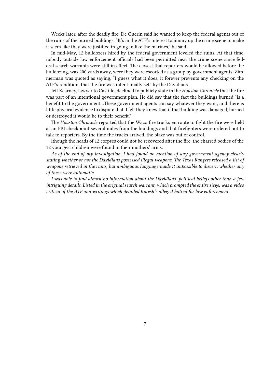Weeks later, after the deadly fire, De Guerin said he wanted to keep the federal agents out of the ruins of the burned buildings. "It's in the ATF's interest to jimmy up the crime scene to make it seem like they were justified in going in like the marines," he said.

In mid-May, 12 bulldozers hired by the federal government leveled the ruins. At that time, nobody outside law enforcement officials had been permitted near the crime scene since federal search warrants were still in effect. The closest that reporters would be allowed before the bulldozing, was 200 yards away, were they were escorted as a group by government agents. Zimmerman was quoted as saying, "I guess what it does, it forever prevents any checking on the ATF's rendition, that the fire was intentionally set" by the Davidians.

Jeff Kearney, lawyer to Castillo, declined to publicly state in the *Houston Chronicle* that the fire was part of an intentional government plan. He did say that the fact the buildings burned "is a benefit to the government…These government agents can say whatever they want, and there is little physical evidence to dispute that. I felt they knew that if that building was damaged, burned or destroyed it would be to their benefit."

The *Houston Chronicle* reported that the Waco fire trucks en route to fight the fire were held at an FBI checkpoint several miles from the buildings and that firefighters were ordered not to talk to reporters. By the time the trucks arrived, the blaze was out of control.

lthough the heads of 12 corpses could not be recovered after the fire, the charred bodies of the 12 youngest children were found in their mothers' arms.

*As of the end of my investigation, I had found no mention of any government agency clearly stating whether or not the Davidians possessed illegal weapons. The Texas Rangers released a list of weapons retrieved in the ruins, but ambiguous language made it impossible to discern whether any of these were automatic.*

*I was able to find almost no information about the Davidians' political beliefs other than a few intriguing details. Listed in the original search warrant, which prompted the entire siege, was a video critical of the ATF and writings which detailed Koresh's alleged hatred for law enforcement.*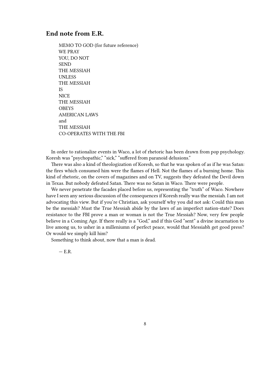## <span id="page-7-0"></span>**End note from E.R.**

MEMO TO GOD (for future reference) WE PRAY YOU, DO NOT SEND THE MESSIAH UNLESS THE MESSIAH IS **NICE** THE MESSIAH OBEYS AMERICAN LAWS and THE MESSIAH CO-OPERATES WITH THE FBI

In order to rationalize events in Waco, a lot of rhetoric has been drawn from pop psychology. Koresh was "psychopathic," "sick," "suffered from paranoid delusions."

There was also a kind of theologization of Koresh, so that he was spoken of as if he was Satan: the fires which consumed him were the flames of Hell. Not the flames of a burning home. This kind of rhetoric, on the covers of magazines and on TV, suggests they defeated the Devil down in Texas. But nobody defeated Satan. There was no Satan in Waco. There were people.

We never penetrate the facades placed before us, representing the "truth" of Waco. Nowhere have I seen any serious discussion of the consequences if Koresh really was the messiah. I am not advocating this view. But if you're Christian, ask yourself why you did not ask: Could this man be the messiah? Must the True Messiah abide by the laws of an imperfect nation-state? Does resistance to the FBI prove a man or woman is not the True Messiah? Now, very few people believe in a Coming Age. If there really is a "God," and if this God "sent" a divine incarnation to live among us, to usher in a milleniumn of perfect peace, would that Messiabh get good press? Or would we simply kill him?

Something to think about, now that a man is dead.

 $- E.R.$